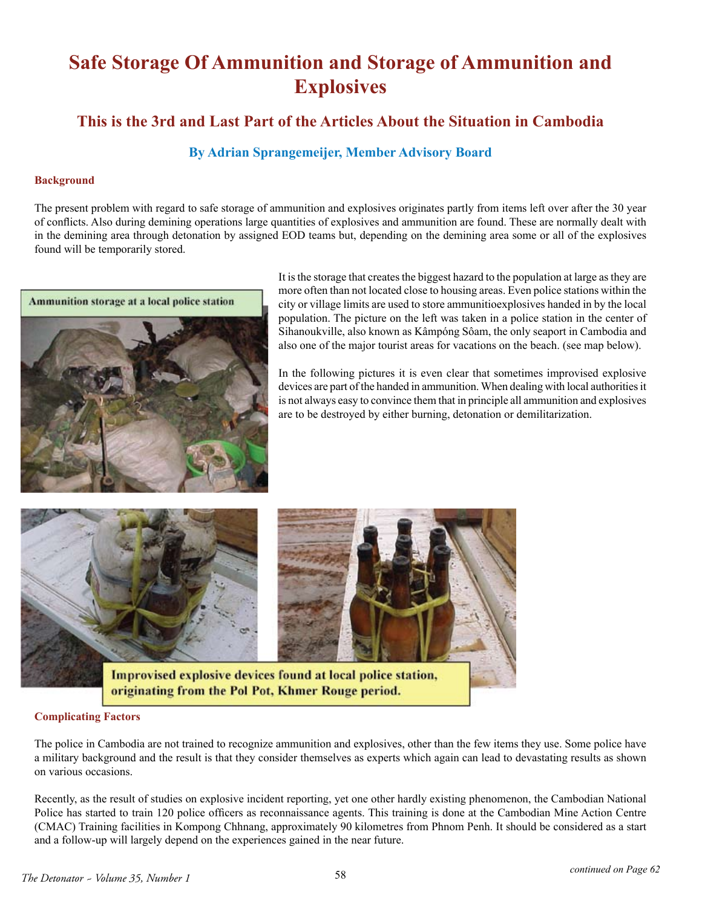# **Safe Storage Of Ammunition and Storage of Ammunition and Explosives**

### **This is the 3rd and Last Part of the Articles About the Situation in Cambodia**

### **By Adrian Sprangemeijer, Member Advisory Board**

#### **Background**

The present problem with regard to safe storage of ammunition and explosives originates partly from items left over after the 30 year of conflicts. Also during demining operations large quantities of explosives and ammunition are found. These are normally dealt with in the demining area through detonation by assigned EOD teams but, depending on the demining area some or all of the explosives found will be temporarily stored.



It is the storage that creates the biggest hazard to the population at large as they are more often than not located close to housing areas. Even police stations within the city or village limits are used to store ammunitioexplosives handed in by the local population. The picture on the left was taken in a police station in the center of Sihanoukville, also known as Kâmpóng Sôam, the only seaport in Cambodia and also one of the major tourist areas for vacations on the beach. (see map below).

In the following pictures it is even clear that sometimes improvised explosive devices are part of the handed in ammunition. When dealing with local authorities it is not always easy to convince them that in principle all ammunition and explosives are to be destroyed by either burning, detonation or demilitarization.



Improvised explosive devices found at local police station, originating from the Pol Pot, Khmer Rouge period.

#### **Complicating Factors**

The police in Cambodia are not trained to recognize ammunition and explosives, other than the few items they use. Some police have a military background and the result is that they consider themselves as experts which again can lead to devastating results as shown on various occasions.

Recently, as the result of studies on explosive incident reporting, yet one other hardly existing phenomenon, the Cambodian National Police has started to train 120 police officers as reconnaissance agents. This training is done at the Cambodian Mine Action Centre (CMAC) Training facilities in Kompong Chhnang, approximately 90 kilometres from Phnom Penh. It should be considered as a start and a follow-up will largely depend on the experiences gained in the near future.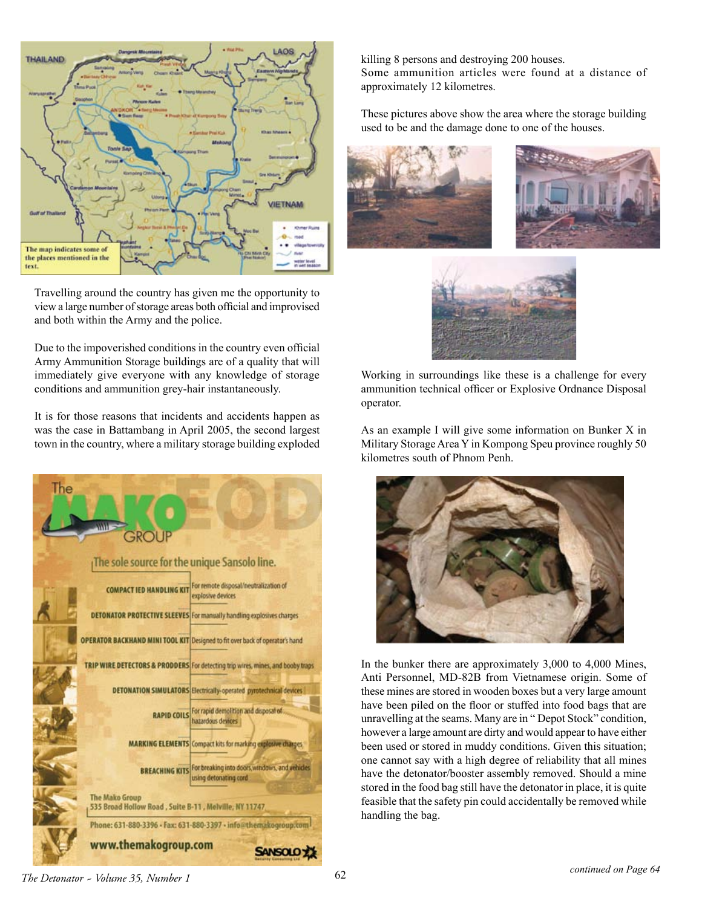

Travelling around the country has given me the opportunity to view a large number of storage areas both official and improvised and both within the Army and the police.

Due to the impoverished conditions in the country even official Army Ammunition Storage buildings are of a quality that will immediately give everyone with any knowledge of storage conditions and ammunition grey-hair instantaneously.

It is for those reasons that incidents and accidents happen as was the case in Battambang in April 2005, the second largest town in the country, where a military storage building exploded



killing 8 persons and destroying 200 houses. Some ammunition articles were found at a distance of approximately 12 kilometres.

These pictures above show the area where the storage building used to be and the damage done to one of the houses.







Working in surroundings like these is a challenge for every ammunition technical officer or Explosive Ordnance Disposal operator.

As an example I will give some information on Bunker X in Military Storage Area Y in Kompong Speu province roughly 50 kilometres south of Phnom Penh.



In the bunker there are approximately 3,000 to 4,000 Mines, Anti Personnel, MD-82B from Vietnamese origin. Some of these mines are stored in wooden boxes but a very large amount have been piled on the floor or stuffed into food bags that are unravelling at the seams. Many are in " Depot Stock" condition, however a large amount are dirty and would appear to have either been used or stored in muddy conditions. Given this situation; one cannot say with a high degree of reliability that all mines have the detonator/booster assembly removed. Should a mine stored in the food bag still have the detonator in place, it is quite feasible that the safety pin could accidentally be removed while handling the bag.

*The Detonator ~ Volume 35, Number 1* 62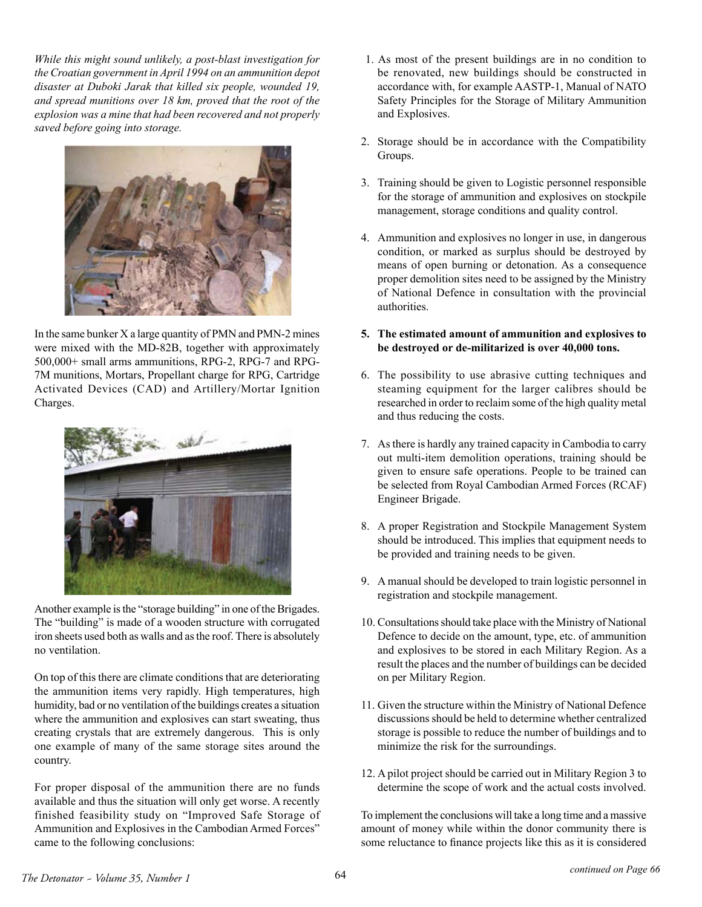*While this might sound unlikely, a post-blast investigation for the Croatian government in April 1994 on an ammunition depot disaster at Duboki Jarak that killed six people, wounded 19, and spread munitions over 18 km, proved that the root of the explosion was a mine that had been recovered and not properly saved before going into storage.*



In the same bunker X a large quantity of PMN and PMN-2 mines were mixed with the MD-82B, together with approximately 500,000+ small arms ammunitions, RPG-2, RPG-7 and RPG-7M munitions, Mortars, Propellant charge for RPG, Cartridge Activated Devices (CAD) and Artillery/Mortar Ignition Charges.



Another example is the "storage building" in one of the Brigades. The "building" is made of a wooden structure with corrugated iron sheets used both as walls and as the roof. There is absolutely no ventilation.

On top of this there are climate conditions that are deteriorating the ammunition items very rapidly. High temperatures, high humidity, bad or no ventilation of the buildings creates a situation where the ammunition and explosives can start sweating, thus creating crystals that are extremely dangerous. This is only one example of many of the same storage sites around the country.

For proper disposal of the ammunition there are no funds available and thus the situation will only get worse. A recently finished feasibility study on "Improved Safe Storage of Ammunition and Explosives in the Cambodian Armed Forces" came to the following conclusions:

- 1. As most of the present buildings are in no condition to be renovated, new buildings should be constructed in accordance with, for example AASTP-1, Manual of NATO Safety Principles for the Storage of Military Ammunition and Explosives.
- 2. Storage should be in accordance with the Compatibility Groups.
- 3. Training should be given to Logistic personnel responsible for the storage of ammunition and explosives on stockpile management, storage conditions and quality control.
- 4. Ammunition and explosives no longer in use, in dangerous condition, or marked as surplus should be destroyed by means of open burning or detonation. As a consequence proper demolition sites need to be assigned by the Ministry of National Defence in consultation with the provincial authorities.
- **5. The estimated amount of ammunition and explosives to be destroyed or de-militarized is over 40,000 tons.**
- 6. The possibility to use abrasive cutting techniques and steaming equipment for the larger calibres should be researched in order to reclaim some of the high quality metal and thus reducing the costs.
- 7. As there is hardly any trained capacity in Cambodia to carry out multi-item demolition operations, training should be given to ensure safe operations. People to be trained can be selected from Royal Cambodian Armed Forces (RCAF) Engineer Brigade.
- 8. A proper Registration and Stockpile Management System should be introduced. This implies that equipment needs to be provided and training needs to be given.
- 9. A manual should be developed to train logistic personnel in registration and stockpile management.
- 10. Consultations should take place with the Ministry of National Defence to decide on the amount, type, etc. of ammunition and explosives to be stored in each Military Region. As a result the places and the number of buildings can be decided on per Military Region.
- 11. Given the structure within the Ministry of National Defence discussions should be held to determine whether centralized storage is possible to reduce the number of buildings and to minimize the risk for the surroundings.
- 12. A pilot project should be carried out in Military Region 3 to determine the scope of work and the actual costs involved.

To implement the conclusions will take a long time and a massive amount of money while within the donor community there is some reluctance to finance projects like this as it is considered